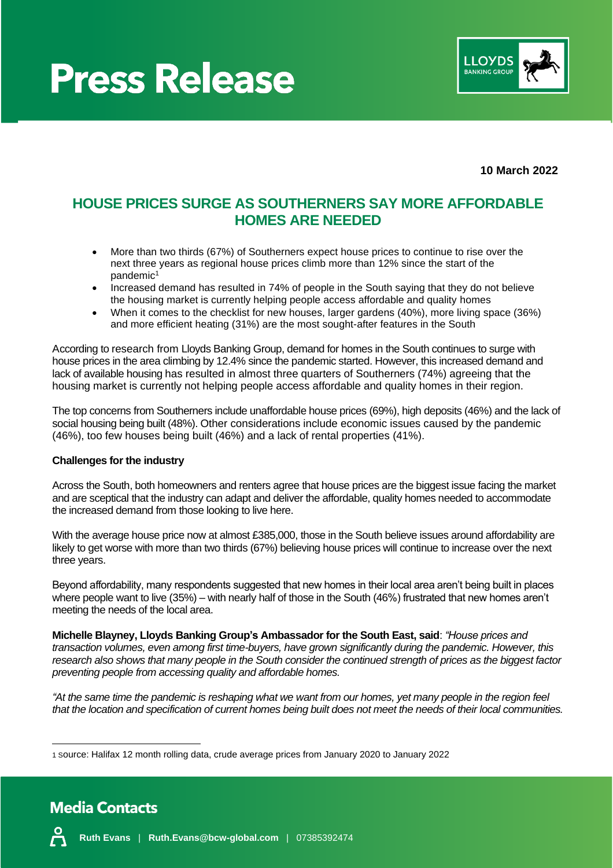## **Press Release**



**10 March 2022**

### **HOUSE PRICES SURGE AS SOUTHERNERS SAY MORE AFFORDABLE HOMES ARE NEEDED**

- More than two thirds (67%) of Southerners expect house prices to continue to rise over the next three years as regional house prices climb more than 12% since the start of the pandemic<sup>1</sup>
- Increased demand has resulted in 74% of people in the South saying that they do not believe the housing market is currently helping people access affordable and quality homes
- When it comes to the checklist for new houses, larger gardens (40%), more living space (36%) and more efficient heating (31%) are the most sought-after features in the South

According to research from Lloyds Banking Group, demand for homes in the South continues to surge with house prices in the area climbing by 12.4% since the pandemic started. However, this increased demand and lack of available housing has resulted in almost three quarters of Southerners (74%) agreeing that the housing market is currently not helping people access affordable and quality homes in their region.

The top concerns from Southerners include unaffordable house prices (69%), high deposits (46%) and the lack of social housing being built (48%). Other considerations include economic issues caused by the pandemic (46%), too few houses being built (46%) and a lack of rental properties (41%).

#### **Challenges for the industry**

Across the South, both homeowners and renters agree that house prices are the biggest issue facing the market and are sceptical that the industry can adapt and deliver the affordable, quality homes needed to accommodate the increased demand from those looking to live here.

With the average house price now at almost £385,000, those in the South believe issues around affordability are likely to get worse with more than two thirds (67%) believing house prices will continue to increase over the next three years.

Beyond affordability, many respondents suggested that new homes in their local area aren't being built in places where people want to live (35%) – with nearly half of those in the South (46%) frustrated that new homes aren't meeting the needs of the local area.

**Michelle Blayney, Lloyds Banking Group's Ambassador for the South East, said**: *"House prices and transaction volumes, even among first time-buyers, have grown significantly during the pandemic. However, this*  research also shows that many people in the South consider the continued strength of prices as the biggest factor *preventing people from accessing quality and affordable homes.* 

*"At the same time the pandemic is reshaping what we want from our homes, yet many people in the region feel that the location and specification of current homes being built does not meet the needs of their local communities.*

<sup>1</sup> Source: Halifax 12 month rolling data, crude average prices from January 2020 to January 2022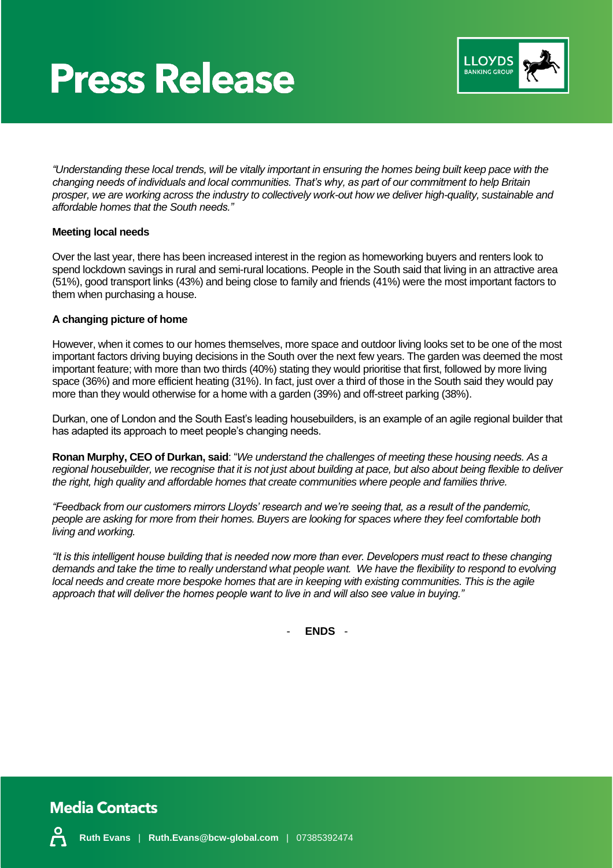## **Press Release**



*"Understanding these local trends, will be vitally important in ensuring the homes being built keep pace with the changing needs of individuals and local communities. That's why, as part of our commitment to help Britain prosper, we are working across the industry to collectively work-out how we deliver high-quality, sustainable and affordable homes that the South needs."*

#### **Meeting local needs**

Over the last year, there has been increased interest in the region as homeworking buyers and renters look to spend lockdown savings in rural and semi-rural locations. People in the South said that living in an attractive area (51%), good transport links (43%) and being close to family and friends (41%) were the most important factors to them when purchasing a house.

#### **A changing picture of home**

However, when it comes to our homes themselves, more space and outdoor living looks set to be one of the most important factors driving buying decisions in the South over the next few years. The garden was deemed the most important feature; with more than two thirds (40%) stating they would prioritise that first, followed by more living space (36%) and more efficient heating (31%). In fact, just over a third of those in the South said they would pay more than they would otherwise for a home with a garden (39%) and off-street parking (38%).

Durkan, one of London and the South East's leading housebuilders, is an example of an agile regional builder that has adapted its approach to meet people's changing needs.

**Ronan Murphy, CEO of Durkan, said**: "*We understand the challenges of meeting these housing needs. As a regional housebuilder, we recognise that it is not just about building at pace, but also about being flexible to deliver the right, high quality and affordable homes that create communities where people and families thrive.* 

*"Feedback from our customers mirrors Lloyds' research and we're seeing that, as a result of the pandemic, people are asking for more from their homes. Buyers are looking for spaces where they feel comfortable both living and working.* 

*"It is this intelligent house building that is needed now more than ever. Developers must react to these changing demands and take the time to really understand what people want. We have the flexibility to respond to evolving local needs and create more bespoke homes that are in keeping with existing communities. This is the agile approach that will deliver the homes people want to live in and will also see value in buying."*

- **ENDS** -